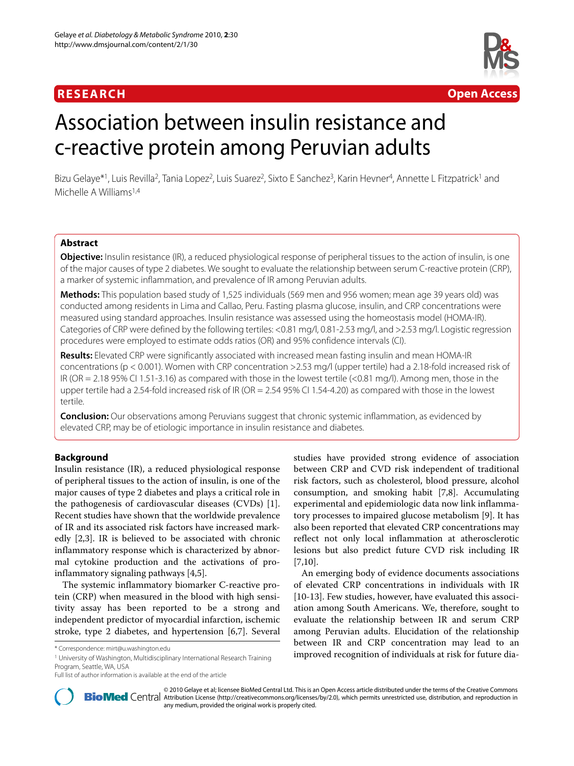# **RESEARCH Open Access**



# Association between insulin resistance and c-reactive protein among Peruvian adults

Bizu Gelaye<sup>\*1</sup>, Luis Revilla<sup>2</sup>, Tania Lopez<sup>2</sup>, Luis Suarez<sup>2</sup>, Sixto E Sanchez<sup>3</sup>, Karin Hevner<sup>4</sup>, Annette L Fitzpatrick<sup>1</sup> and Michelle A Williams1,4

# **Abstract**

**Objective:** Insulin resistance (IR), a reduced physiological response of peripheral tissues to the action of insulin, is one of the major causes of type 2 diabetes. We sought to evaluate the relationship between serum C-reactive protein (CRP), a marker of systemic inflammation, and prevalence of IR among Peruvian adults.

**Methods:** This population based study of 1,525 individuals (569 men and 956 women; mean age 39 years old) was conducted among residents in Lima and Callao, Peru. Fasting plasma glucose, insulin, and CRP concentrations were measured using standard approaches. Insulin resistance was assessed using the homeostasis model (HOMA-IR). Categories of CRP were defined by the following tertiles: <0.81 mg/l, 0.81-2.53 mg/l, and >2.53 mg/l. Logistic regression procedures were employed to estimate odds ratios (OR) and 95% confidence intervals (CI).

**Results:** Elevated CRP were significantly associated with increased mean fasting insulin and mean HOMA-IR concentrations (p < 0.001). Women with CRP concentration >2.53 mg/l (upper tertile) had a 2.18-fold increased risk of IR (OR = 2.18 95% CI 1.51-3.16) as compared with those in the lowest tertile (<0.81 mg/l). Among men, those in the upper tertile had a 2.54-fold increased risk of IR (OR = 2.54 95% CI 1.54-4.20) as compared with those in the lowest tertile.

**Conclusion:** Our observations among Peruvians suggest that chronic systemic inflammation, as evidenced by elevated CRP, may be of etiologic importance in insulin resistance and diabetes.

# **Background**

Insulin resistance (IR), a reduced physiological response of peripheral tissues to the action of insulin, is one of the major causes of type 2 diabetes and plays a critical role in the pathogenesis of cardiovascular diseases (CVDs) [\[1](#page-4-0)]. Recent studies have shown that the worldwide prevalence of IR and its associated risk factors have increased markedly [[2,](#page-4-1)[3\]](#page-4-2). IR is believed to be associated with chronic inflammatory response which is characterized by abnormal cytokine production and the activations of proinflammatory signaling pathways [\[4](#page-4-3)[,5](#page-4-4)].

The systemic inflammatory biomarker C-reactive protein (CRP) when measured in the blood with high sensitivity assay has been reported to be a strong and independent predictor of myocardial infarction, ischemic stroke, type 2 diabetes, and hypertension [\[6](#page-4-5),[7\]](#page-4-6). Several

1 University of Washington, Multidisciplinary International Research Training Program, Seattle, WA, USA

studies have provided strong evidence of association between CRP and CVD risk independent of traditional risk factors, such as cholesterol, blood pressure, alcohol consumption, and smoking habit [[7,](#page-4-6)[8\]](#page-4-7). Accumulating experimental and epidemiologic data now link inflammatory processes to impaired glucose metabolism [[9\]](#page-4-8). It has also been reported that elevated CRP concentrations may reflect not only local inflammation at atherosclerotic lesions but also predict future CVD risk including IR [[7,](#page-4-6)[10\]](#page-4-9).

An emerging body of evidence documents associations of elevated CRP concentrations in individuals with IR [[10](#page-4-9)[-13](#page-4-10)]. Few studies, however, have evaluated this association among South Americans. We, therefore, sought to evaluate the relationship between IR and serum CRP among Peruvian adults. Elucidation of the relationship between IR and CRP concentration may lead to an improved recognition of individuals at risk for future dia- \* Correspondence: mirt@u.washington.edu



2010 Gelaye et al; licensee [BioMed](http://www.biomedcentral.com/) Central Ltd. This is an Open Access article distributed under the terms of the Creative Commons (http://creativecommons.org/licenses/by/2.0), which permits unrestricted use, distribution, any medium, provided the original work is properly cited.

Full list of author information is available at the end of the article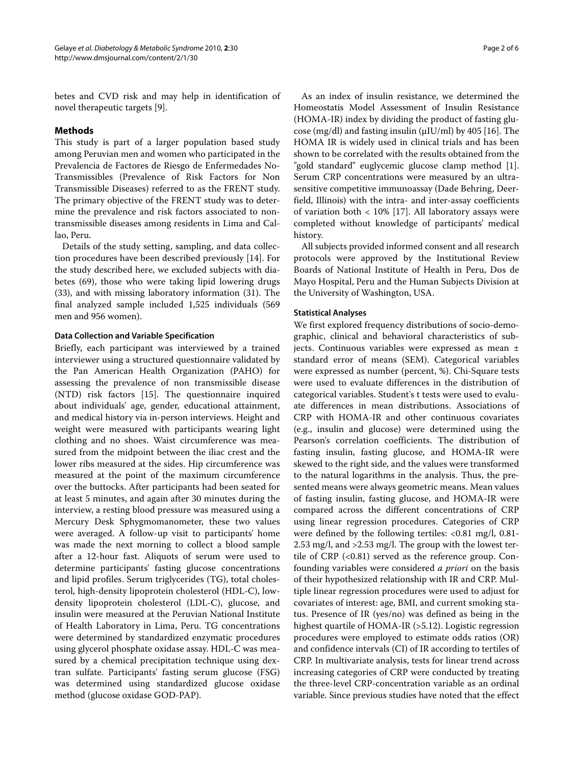betes and CVD risk and may help in identification of novel therapeutic targets [\[9](#page-4-8)].

# **Methods**

This study is part of a larger population based study among Peruvian men and women who participated in the Prevalencia de Factores de Riesgo de Enfermedades No-Transmissibles (Prevalence of Risk Factors for Non Transmissible Diseases) referred to as the FRENT study. The primary objective of the FRENT study was to determine the prevalence and risk factors associated to nontransmissible diseases among residents in Lima and Callao, Peru.

Details of the study setting, sampling, and data collection procedures have been described previously [[14\]](#page-5-0). For the study described here, we excluded subjects with diabetes (69), those who were taking lipid lowering drugs (33), and with missing laboratory information (31). The final analyzed sample included 1,525 individuals (569 men and 956 women).

#### **Data Collection and Variable Specification**

Briefly, each participant was interviewed by a trained interviewer using a structured questionnaire validated by the Pan American Health Organization (PAHO) for assessing the prevalence of non transmissible disease (NTD) risk factors [[15](#page-5-1)]. The questionnaire inquired about individuals' age, gender, educational attainment, and medical history via in-person interviews. Height and weight were measured with participants wearing light clothing and no shoes. Waist circumference was measured from the midpoint between the iliac crest and the lower ribs measured at the sides. Hip circumference was measured at the point of the maximum circumference over the buttocks. After participants had been seated for at least 5 minutes, and again after 30 minutes during the interview, a resting blood pressure was measured using a Mercury Desk Sphygmomanometer, these two values were averaged. A follow-up visit to participants' home was made the next morning to collect a blood sample after a 12-hour fast. Aliquots of serum were used to determine participants' fasting glucose concentrations and lipid profiles. Serum triglycerides (TG), total cholesterol, high-density lipoprotein cholesterol (HDL-C), lowdensity lipoprotein cholesterol (LDL-C), glucose, and insulin were measured at the Peruvian National Institute of Health Laboratory in Lima, Peru. TG concentrations were determined by standardized enzymatic procedures using glycerol phosphate oxidase assay. HDL-C was measured by a chemical precipitation technique using dextran sulfate. Participants' fasting serum glucose (FSG) was determined using standardized glucose oxidase method (glucose oxidase GOD-PAP).

As an index of insulin resistance, we determined the Homeostatis Model Assessment of Insulin Resistance (HOMA-IR) index by dividing the product of fasting glucose (mg/dl) and fasting insulin (μIU/ml) by 405 [[16\]](#page-5-2). The HOMA IR is widely used in clinical trials and has been shown to be correlated with the results obtained from the "gold standard" euglycemic glucose clamp method [\[1](#page-4-0)]. Serum CRP concentrations were measured by an ultrasensitive competitive immunoassay (Dade Behring, Deerfield, Illinois) with the intra- and inter-assay coefficients of variation both < 10% [[17\]](#page-5-3). All laboratory assays were completed without knowledge of participants' medical history.

All subjects provided informed consent and all research protocols were approved by the Institutional Review Boards of National Institute of Health in Peru, Dos de Mayo Hospital, Peru and the Human Subjects Division at the University of Washington, USA.

## **Statistical Analyses**

We first explored frequency distributions of socio-demographic, clinical and behavioral characteristics of subjects. Continuous variables were expressed as mean ± standard error of means (SEM). Categorical variables were expressed as number (percent, %). Chi-Square tests were used to evaluate differences in the distribution of categorical variables. Student's t tests were used to evaluate differences in mean distributions. Associations of CRP with HOMA-IR and other continuous covariates (e.g., insulin and glucose) were determined using the Pearson's correlation coefficients. The distribution of fasting insulin, fasting glucose, and HOMA-IR were skewed to the right side, and the values were transformed to the natural logarithms in the analysis. Thus, the presented means were always geometric means. Mean values of fasting insulin, fasting glucose, and HOMA-IR were compared across the different concentrations of CRP using linear regression procedures. Categories of CRP were defined by the following tertiles: <0.81 mg/l, 0.81- 2.53 mg/l, and >2.53 mg/l. The group with the lowest tertile of  $CRP$  (<0.81) served as the reference group. Confounding variables were considered *a priori* on the basis of their hypothesized relationship with IR and CRP. Multiple linear regression procedures were used to adjust for covariates of interest: age, BMI, and current smoking status. Presence of IR (yes/no) was defined as being in the highest quartile of HOMA-IR (>5.12). Logistic regression procedures were employed to estimate odds ratios (OR) and confidence intervals (CI) of IR according to tertiles of CRP. In multivariate analysis, tests for linear trend across increasing categories of CRP were conducted by treating the three-level CRP-concentration variable as an ordinal variable. Since previous studies have noted that the effect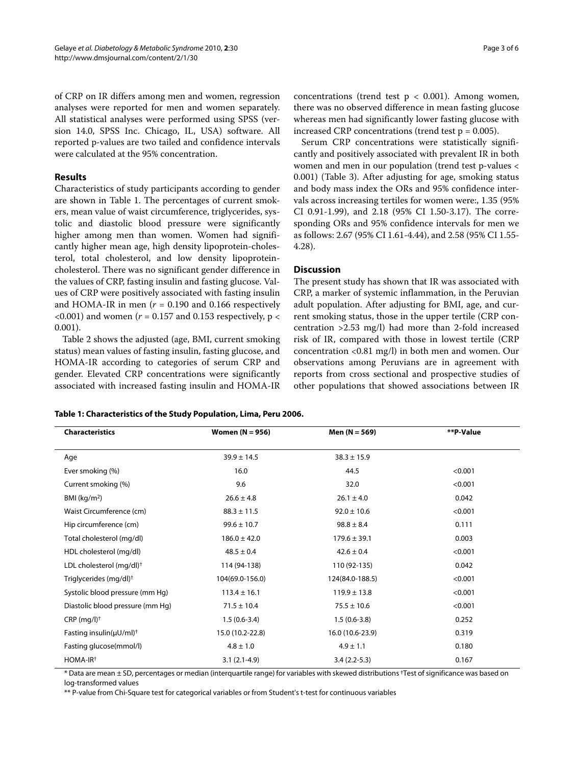Page 3 of 6

of CRP on IR differs among men and women, regression analyses were reported for men and women separately. All statistical analyses were performed using SPSS (version 14.0, SPSS Inc. Chicago, IL, USA) software. All reported p-values are two tailed and confidence intervals were calculated at the 95% concentration.

## **Results**

Characteristics of study participants according to gender are shown in Table 1. The percentages of current smokers, mean value of waist circumference, triglycerides, systolic and diastolic blood pressure were significantly higher among men than women. Women had significantly higher mean age, high density lipoprotein-cholesterol, total cholesterol, and low density lipoproteincholesterol. There was no significant gender difference in the values of CRP, fasting insulin and fasting glucose. Values of CRP were positively associated with fasting insulin and HOMA-IR in men ( $r = 0.190$  and 0.166 respectively  $\langle 0.001 \rangle$  and women ( $r = 0.157$  and 0.153 respectively, p  $\langle$ 0.001).

Table 2 shows the adjusted (age, BMI, current smoking status) mean values of fasting insulin, fasting glucose, and HOMA-IR according to categories of serum CRP and gender. Elevated CRP concentrations were significantly associated with increased fasting insulin and HOMA-IR

concentrations (trend test  $p < 0.001$ ). Among women, there was no observed difference in mean fasting glucose whereas men had significantly lower fasting glucose with increased CRP concentrations (trend test  $p = 0.005$ ).

Serum CRP concentrations were statistically significantly and positively associated with prevalent IR in both women and men in our population (trend test p-values < 0.001) (Table 3). After adjusting for age, smoking status and body mass index the ORs and 95% confidence intervals across increasing tertiles for women were:, 1.35 (95% CI 0.91-1.99), and 2.18 (95% CI 1.50-3.17). The corresponding ORs and 95% confidence intervals for men we as follows: 2.67 (95% CI 1.61-4.44), and 2.58 (95% CI 1.55- 4.28).

# **Discussion**

The present study has shown that IR was associated with CRP, a marker of systemic inflammation, in the Peruvian adult population. After adjusting for BMI, age, and current smoking status, those in the upper tertile (CRP concentration >2.53 mg/l) had more than 2-fold increased risk of IR, compared with those in lowest tertile (CRP concentration <0.81 mg/l) in both men and women. Our observations among Peruvians are in agreement with reports from cross sectional and prospective studies of other populations that showed associations between IR

| Table 1: Characteristics of the Study Population, Lima, Peru 2006. |  |
|--------------------------------------------------------------------|--|
|--------------------------------------------------------------------|--|

| <b>Characteristics</b>                    | Women $(N = 956)$ | Men $(N = 569)$  | **P-Value |
|-------------------------------------------|-------------------|------------------|-----------|
|                                           |                   |                  |           |
| Age                                       | $39.9 \pm 14.5$   | $38.3 \pm 15.9$  |           |
| Ever smoking (%)                          | 16.0              | 44.5             | < 0.001   |
| Current smoking (%)                       | 9.6               | 32.0             | < 0.001   |
| BMI $(kq/m2)$                             | $26.6 \pm 4.8$    | $26.1 \pm 4.0$   | 0.042     |
| Waist Circumference (cm)                  | $88.3 \pm 11.5$   | $92.0 \pm 10.6$  | < 0.001   |
| Hip circumference (cm)                    | $99.6 \pm 10.7$   | $98.8 \pm 8.4$   | 0.111     |
| Total cholesterol (mg/dl)                 | $186.0 \pm 42.0$  | $179.6 \pm 39.1$ | 0.003     |
| HDL cholesterol (mg/dl)                   | $48.5 \pm 0.4$    | $42.6 \pm 0.4$   | < 0.001   |
| LDL cholesterol (mg/dl) <sup>+</sup>      | 114 (94-138)      | 110 (92-135)     | 0.042     |
| Triglycerides (mg/dl) <sup>+</sup>        | 104(69.0-156.0)   | 124(84.0-188.5)  | < 0.001   |
| Systolic blood pressure (mm Hq)           | $113.4 \pm 16.1$  | $119.9 \pm 13.8$ | < 0.001   |
| Diastolic blood pressure (mm Hg)          | $71.5 \pm 10.4$   | $75.5 \pm 10.6$  | < 0.001   |
| $CRP$ (mg/l) <sup>+</sup>                 | $1.5(0.6-3.4)$    | $1.5(0.6-3.8)$   | 0.252     |
| Fasting insulin( $\mu$ U/ml) <sup>+</sup> | 15.0 (10.2-22.8)  | 16.0 (10.6-23.9) | 0.319     |
| Fasting glucose(mmol/l)                   | $4.8 \pm 1.0$     | $4.9 \pm 1.1$    | 0.180     |
| HOMA-IR <sup>+</sup>                      | $3.1(2.1-4.9)$    | $3.4(2.2-5.3)$   | 0.167     |

\* Data are mean ± SD, percentages or median (interquartile range) for variables with skewed distributions †Test of significance was based on log-transformed values

\*\* P-value from Chi-Square test for categorical variables or from Student's t-test for continuous variables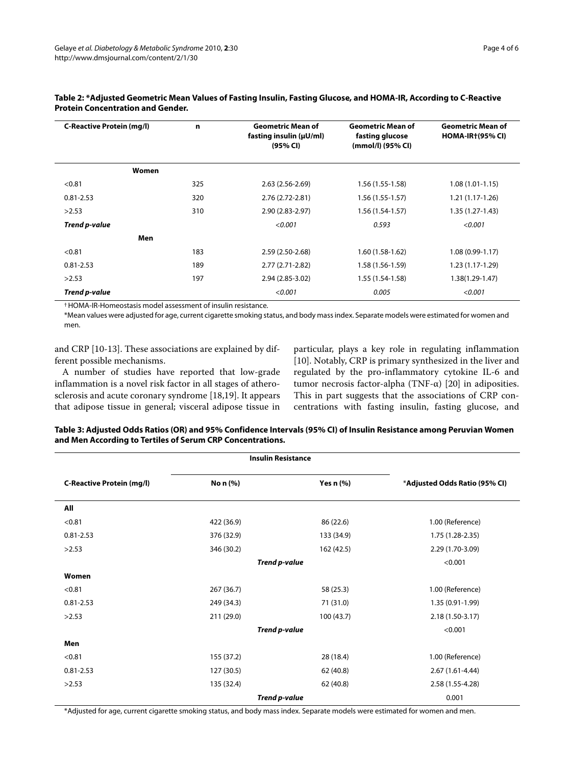**Women**

**Men**

**C-Reactive Protein (mg/l)** 

| n | <b>Geometric Mean of</b> | <b>Geometric Mean of</b> | <b>Geometric Mean of</b> |
|---|--------------------------|--------------------------|--------------------------|
|   | fasting insulin (µU/ml)  | fasting glucose          | <b>HOMA-IR+(95% CI)</b>  |
|   | (95% CI)                 | (mmol/l) (95% Cl)        |                          |

## **Table 2: \*Adjusted Geometric Mean V Protein Concentration and Gender.**

<0.81 325 2.63 (2.56-2.69) 1.56 (1.55-1.58) 1.08 (1.01-1.15) 0.81-2.53 320 2.76 (2.72-2.81) 1.56 (1.55-1.57) 1.21 (1.17-1.26) >2.53 310 2.90 (2.83-2.97) 1.56 (1.54-1.57) 1.35 (1.27-1.43) **Trend p-value**  $\leq 0.001$   $\leq 0.593$   $\leq 0.001$ 

<0.81 183 2.59 (2.50-2.68) 1.60 (1.58-1.62) 1.08 (0.99-1.17) 0.81-2.53 189 2.77 (2.71-2.82) 1.58 (1.56-1.59) 1.23 (1.17-1.29) >2.53 197 2.94 (2.85-3.02) 1.55 (1.54-1.58) 1.38(1.29-1.47) **Trend p-value**  $\leq 0.001$   $\leq 0.005$   $\leq 0.001$ 

† HOMA-IR-Homeostasis model assessment of insulin resistance.

\*Mean values were adjusted for age, current cigarette smoking status, and body mass index. Separate models were estimated for women and men.

and CRP [\[10](#page-4-9)-[13\]](#page-4-10). These associations are explained by different possible mechanisms.

A number of studies have reported that low-grade inflammation is a novel risk factor in all stages of atherosclerosis and acute coronary syndrome [[18](#page-5-4),[19\]](#page-5-5). It appears that adipose tissue in general; visceral adipose tissue in particular, plays a key role in regulating inflammation [[10\]](#page-4-9). Notably, CRP is primary synthesized in the liver and regulated by the pro-inflammatory cytokine IL-6 and tumor necrosis factor-alpha (TNF-α) [[20\]](#page-5-6) in adiposities. This in part suggests that the associations of CRP concentrations with fasting insulin, fasting glucose, and

| Table 3: Adjusted Odds Ratios (OR) and 95% Confidence Intervals (95% CI) of Insulin Resistance among Peruvian Women |
|---------------------------------------------------------------------------------------------------------------------|
| and Men According to Tertiles of Serum CRP Concentrations.                                                          |

|                                  | <b>Insulin Resistance</b> |               |                               |
|----------------------------------|---------------------------|---------------|-------------------------------|
| <b>C-Reactive Protein (mg/l)</b> | No n (%)                  | Yes $n$ $%$   | *Adjusted Odds Ratio (95% CI) |
| All                              |                           |               |                               |
| < 0.81                           | 422 (36.9)                | 86 (22.6)     | 1.00 (Reference)              |
| $0.81 - 2.53$                    | 376 (32.9)                | 133 (34.9)    | 1.75 (1.28-2.35)              |
| >2.53                            | 346 (30.2)                | 162 (42.5)    | 2.29 (1.70-3.09)              |
|                                  |                           | Trend p-value | < 0.001                       |
| Women                            |                           |               |                               |
| < 0.81                           | 267 (36.7)                | 58 (25.3)     | 1.00 (Reference)              |
| $0.81 - 2.53$                    | 249 (34.3)                | 71 (31.0)     | 1.35 (0.91-1.99)              |
| >2.53                            | 211 (29.0)                | 100(43.7)     | 2.18 (1.50-3.17)              |
|                                  | Trend p-value             |               | < 0.001                       |
| Men                              |                           |               |                               |
| < 0.81                           | 155 (37.2)                | 28 (18.4)     | 1.00 (Reference)              |
| $0.81 - 2.53$                    | 127 (30.5)                | 62 (40.8)     | $2.67(1.61-4.44)$             |
| >2.53                            | 135 (32.4)                | 62 (40.8)     | 2.58 (1.55-4.28)              |
| Trend p-value                    |                           |               | 0.001                         |

\*Adjusted for age, current cigarette smoking status, and body mass index. Separate models were estimated for women and men.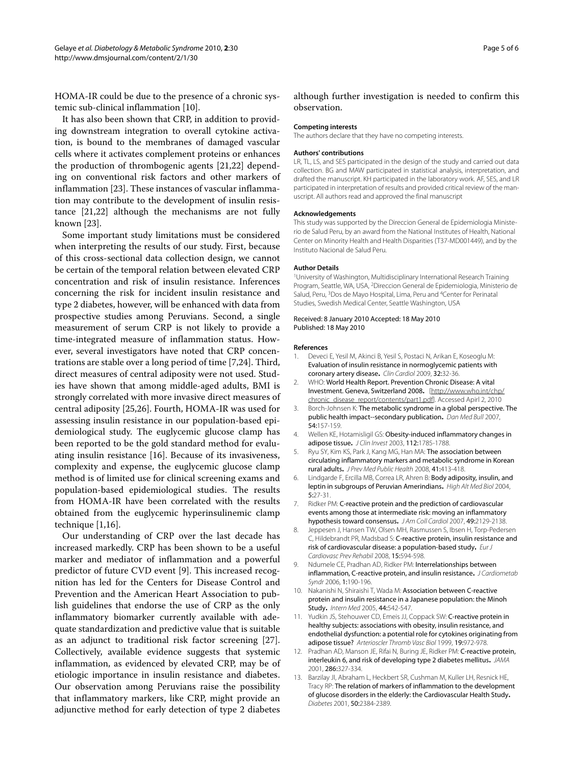HOMA-IR could be due to the presence of a chronic systemic sub-clinical inflammation [\[10](#page-4-9)].

It has also been shown that CRP, in addition to providing downstream integration to overall cytokine activation, is bound to the membranes of damaged vascular cells where it activates complement proteins or enhances the production of thrombogenic agents [[21,](#page-5-7)[22\]](#page-5-8) depending on conventional risk factors and other markers of inflammation [[23](#page-5-9)]. These instances of vascular inflammation may contribute to the development of insulin resistance [\[21](#page-5-7)[,22](#page-5-8)] although the mechanisms are not fully known [\[23\]](#page-5-9).

Some important study limitations must be considered when interpreting the results of our study. First, because of this cross-sectional data collection design, we cannot be certain of the temporal relation between elevated CRP concentration and risk of insulin resistance. Inferences concerning the risk for incident insulin resistance and type 2 diabetes, however, will be enhanced with data from prospective studies among Peruvians. Second, a single measurement of serum CRP is not likely to provide a time-integrated measure of inflammation status. However, several investigators have noted that CRP concentrations are stable over a long period of time [\[7](#page-4-6),[24](#page-5-10)]. Third, direct measures of central adiposity were not used. Studies have shown that among middle-aged adults, BMI is strongly correlated with more invasive direct measures of central adiposity [[25,](#page-5-11)[26\]](#page-5-12). Fourth, HOMA-IR was used for assessing insulin resistance in our population-based epidemiological study. The euglycemic glucose clamp has been reported to be the gold standard method for evaluating insulin resistance [\[16](#page-5-2)]. Because of its invasiveness, complexity and expense, the euglycemic glucose clamp method is of limited use for clinical screening exams and population-based epidemiological studies. The results from HOMA-IR have been correlated with the results obtained from the euglycemic hyperinsulinemic clamp technique [[1,](#page-4-0)[16\]](#page-5-2).

Our understanding of CRP over the last decade has increased markedly. CRP has been shown to be a useful marker and mediator of inflammation and a powerful predictor of future CVD event [\[9](#page-4-8)]. This increased recognition has led for the Centers for Disease Control and Prevention and the American Heart Association to publish guidelines that endorse the use of CRP as the only inflammatory biomarker currently available with adequate standardization and predictive value that is suitable as an adjunct to traditional risk factor screening [\[27](#page-5-13)]. Collectively, available evidence suggests that systemic inflammation, as evidenced by elevated CRP, may be of etiologic importance in insulin resistance and diabetes. Our observation among Peruvians raise the possibility that inflammatory markers, like CRP, might provide an adjunctive method for early detection of type 2 diabetes

## although further investigation is needed to confirm this observation.

#### **Competing interests**

The authors declare that they have no competing interests.

#### **Authors' contributions**

LR, TL, LS, and SES participated in the design of the study and carried out data collection. BG and MAW participated in statistical analysis, interpretation, and drafted the manuscript. KH participated in the laboratory work. AF, SES, and LR participated in interpretation of results and provided critical review of the manuscript. All authors read and approved the final manuscript

#### **Acknowledgements**

This study was supported by the Direccion General de Epidemiologia Ministerio de Salud Peru, by an award from the National Institutes of Health, National Center on Minority Health and Health Disparities (T37-MD001449), and by the Instituto Nacional de Salud Peru.

#### **Author Details**

1University of Washington, Multidisciplinary International Research Training Program, Seattle, WA, USA, 2Direccion General de Epidemiologia, Ministerio de Salud, Peru, 3Dos de Mayo Hospital, Lima, Peru and 4Center for Perinatal Studies, Swedish Medical Center, Seattle Washington, USA

#### Received: 8 January 2010 Accepted: 18 May 2010 Published: 18 May 2010

#### **References**

- <span id="page-4-0"></span>Deveci E, Yesil M, Akinci B, Yesil S, Postaci N, Arikan E, Koseoglu M: Evaluation of insulin resistance in normoglycemic patients with coronary artery disease**[.](http://www.ncbi.nlm.nih.gov/entrez/query.fcgi?cmd=Retrieve&db=PubMed&dopt=Abstract&list_uids=19143010)** Clin Cardiol 2009, 32:32-36.
- <span id="page-4-1"></span>2. WHO: World Health Report. Prevention Chronic Disease: A vital Investment. Geneva, Switzerland 2008**.** [\[http://www.who.int/chp/](http://www.who.int/chp/chronic_disease_report/contents/part1.pdf) [chronic\\_disease\\_report/contents/part1.pdf](http://www.who.int/chp/chronic_disease_report/contents/part1.pdf)]. Accessed Apirl 2, 2010
- <span id="page-4-2"></span>3. Borch-Johnsen K: The metabolic syndrome in a global perspective. The public health impact--secondary publication**.** Dan Med Bull 2007, 54:157-159.
- <span id="page-4-3"></span>4. Wellen KE, Hotamisligil GS: Obesity-induced inflammatory changes in adipose tissue**.** J Clin Invest 2003, 112:1785-1788.
- <span id="page-4-4"></span>5. Ryu SY, Kim KS, Park J, Kang MG, Han MA: The association between circulating inflammatory markers and metabolic syndrome in Korean rural adults**.** J Prev Med Public Health 2008, 41:413-418.
- <span id="page-4-5"></span>6. Lindgarde F, Ercilla MB, Correa LR, Ahren B: Body adiposity, insulin, and leptin in subgroups of Peruvian Amerindians**[.](http://www.ncbi.nlm.nih.gov/entrez/query.fcgi?cmd=Retrieve&db=PubMed&dopt=Abstract&list_uids=15072714)** High Alt Med Biol 2004, 5:27-31.
- <span id="page-4-6"></span>7. Ridker PM: C-reactive protein and the prediction of cardiovascular events among those at intermediate risk: moving an inflammatory hypothesis toward consensus**.** J Am Coll Cardiol 2007, 49:2129-2138.
- <span id="page-4-7"></span>Jeppesen J, Hansen TW, Olsen MH, Rasmussen S, Ibsen H, Torp-Pedersen C, Hildebrandt PR, Madsbad S: C-reactive protein, insulin resistance and risk of cardiovascular disease: a population-based study**[.](http://www.ncbi.nlm.nih.gov/entrez/query.fcgi?cmd=Retrieve&db=PubMed&dopt=Abstract&list_uids=18753952)** Eur J Cardiovasc Prev Rehabil 2008, 15:594-598.
- <span id="page-4-8"></span>9. Ndumele CE, Pradhan AD, Ridker PM: Interrelationships between inflammation, C-reactive protein, and insulin resistance**.** J Cardiometab Syndr 2006, 1:190-196.
- <span id="page-4-9"></span>10. Nakanishi N, Shiraishi T, Wada M: Association between C-reactive protein and insulin resistance in a Japanese population: the Minoh Study**.** Intern Med 2005, 44:542-547.
- 11. Yudkin JS, Stehouwer CD, Emeis JJ, Coppack SW: C-reactive protein in healthy subjects: associations with obesity, insulin resistance, and endothelial dysfunction: a potential role for cytokines originating from adipose tissue? Arterioscler Thromb Vasc Biol 1999, 19:972-978.
- 12. Pradhan AD, Manson JE, Rifai N, Buring JE, Ridker PM: C-reactive protein, interleukin 6, and risk of developing type 2 diabetes mellitus**.** JAMA 2001, 286:327-334.
- <span id="page-4-10"></span>13. Barzilay JI, Abraham L, Heckbert SR, Cushman M, Kuller LH, Resnick HE, Tracy RP: The relation of markers of inflammation to the development of glucose disorders in the elderly: the Cardiovascular Health Study**.** Diabetes 2001, 50:2384-2389.